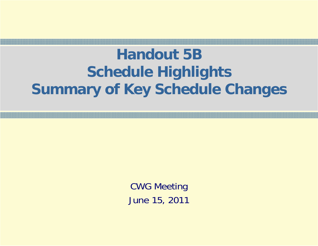### **Handout 5BSchedule Highlights Summary of Key Schedule Changes**

CWG Meeting June 15, 2011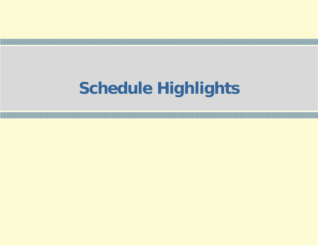### **Schedule Highlights**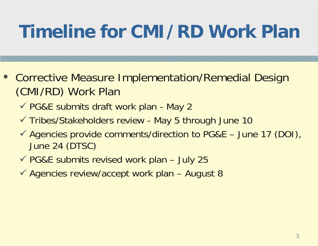## **Timeline for CMI/RD Work Plan**

- Corrective Measure Implementation/Remedial Design (CMI/RD) Work Plan
	- √ PG&E submits draft work plan May 2
	- √ Tribes/Stakeholders review May 5 through June 10
	- $\checkmark$  Agencies provide comments/direction to PG&E June 17 (DOI), June 24 (DTSC)
	- $\checkmark$  PG&E submits revised work plan July 25
	- $\checkmark$  Agencies review/accept work plan August 8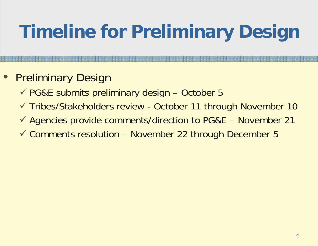# **Timeline for Preliminary Design**

#### • Preliminary Design

- $\checkmark$  PG&E submits preliminary design October 5
- √ Tribes/Stakeholders review October 11 through November 10
- $\checkmark$  Agencies provide comments/direction to PG&E November 21
- $\checkmark$  Comments resolution November 22 through December 5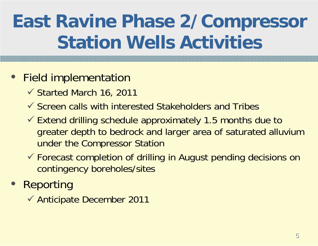## **East Ravine Phase 2/Compressor Station Wells Activities**

#### • Field implementation

- 9 Started March 16, 2011
- $\checkmark$  Screen calls with interested Stakeholders and Tribes
- $\checkmark$  Extend drilling schedule approximately 1.5 months due to greater depth to bedrock and larger area of saturated alluvium under the Compressor Station
- 9 Forecast completion of drilling in August pending decisions on contingency boreholes/sites
- Reporting
	- ◆ Anticipate December 2011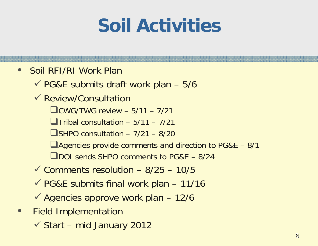## **Soil Activities**

#### $\bullet$ Soil RFI/RI Work Plan

 $\checkmark$  PG&E submits draft work plan – 5/6

- $\checkmark$  Review/Consultation
	- $CWS/TWG$  review  $-5/11 7/21$
	- $\Box$ Tribal consultation 5/11 7/21
	- $\Box$ SHPO consultation 7/21 8/20
	- Agencies provide comments and direction to PG&E 8/1
	- DOI sends SHPO comments to PG&E 8/24
- $\checkmark$  Comments resolution 8/25 10/5
- $\checkmark$  PG&E submits final work plan 11/16
- $\checkmark$  Agencies approve work plan 12/6
- $\bullet$  Field Implementation
	- $\checkmark$  Start mid January 2012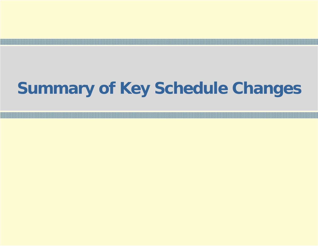### **Summary of Key Schedule Changes**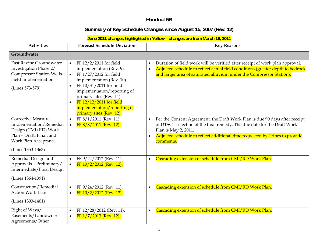| Summary of Key Schedule Changes since August 15, 2007 (Rev. 12)<br>June 2011 changes highlighted in Yellow - changes are from March 16, 2011<br><b>Forecast Schedule Deviation</b><br><b>Activities</b><br><b>Key Reasons</b><br>Groundwater<br>East Ravine Groundwater<br>FF 12/2/2011 for field<br>$\bullet$<br>Investigation Phase 2/<br>implementation (Rev. 9).<br><b>Compressor Station Wells</b><br>and larger area of saturated alluvium under the Compressor Station).<br>FF 1/27/2012 for field<br>$\bullet$<br>Field Implementation<br>implementation (Rev. 10).<br>FF 10/31/2011 for field<br>$\bullet$<br>(Lines 573-579)<br>implementation/reporting of<br>primary sites (Rev. 11).<br>FF 12/12/2011 for field |  |  | Handout 5B                                                                                                                                                                                                                             |  |  |  |
|------------------------------------------------------------------------------------------------------------------------------------------------------------------------------------------------------------------------------------------------------------------------------------------------------------------------------------------------------------------------------------------------------------------------------------------------------------------------------------------------------------------------------------------------------------------------------------------------------------------------------------------------------------------------------------------------------------------------------|--|--|----------------------------------------------------------------------------------------------------------------------------------------------------------------------------------------------------------------------------------------|--|--|--|
|                                                                                                                                                                                                                                                                                                                                                                                                                                                                                                                                                                                                                                                                                                                              |  |  |                                                                                                                                                                                                                                        |  |  |  |
|                                                                                                                                                                                                                                                                                                                                                                                                                                                                                                                                                                                                                                                                                                                              |  |  |                                                                                                                                                                                                                                        |  |  |  |
|                                                                                                                                                                                                                                                                                                                                                                                                                                                                                                                                                                                                                                                                                                                              |  |  |                                                                                                                                                                                                                                        |  |  |  |
|                                                                                                                                                                                                                                                                                                                                                                                                                                                                                                                                                                                                                                                                                                                              |  |  |                                                                                                                                                                                                                                        |  |  |  |
| implementation/reporting of<br>primary sites (Rev. 12).                                                                                                                                                                                                                                                                                                                                                                                                                                                                                                                                                                                                                                                                      |  |  | Duration of field work will be verified after receipt of work plan approval.<br>Adjusted schedule to reflect actual field conditions (greater depth to bedrock                                                                         |  |  |  |
| <b>Corrective Measure</b><br>FF 8/1/2011 (Rev. 11).<br>$\bullet$<br>$\bullet$<br>Implementation/Remedial<br>FF 8/8/2011 (Rev. 12).<br>$\bullet$<br>Design (CMI/RD) Work<br>Plan is May 2, 2011.<br>Plan - Draft, Final, and<br><b>Work Plan Acceptance</b><br>comments.<br>(Lines 1353-1363)                                                                                                                                                                                                                                                                                                                                                                                                                                 |  |  | Per the Consent Agreement, the Draft Work Plan is due 90 days after receipt<br>of DTSC's selection of the final remedy. The due date for the Draft Work<br>Adjusted schedule to reflect additional time requested by Tribes to provide |  |  |  |
| Remedial Design and<br>Cascading extension of schedule from CMI/RD Work Plan.<br>FF 9/24/2012 (Rev. 11).<br>$\bullet$<br>Approvals - Preliminary/<br>FF 10/2/2012 (Rev. 12).<br>$\bullet$<br>Intermediate/Final Design<br>(Lines 1364-1391)                                                                                                                                                                                                                                                                                                                                                                                                                                                                                  |  |  |                                                                                                                                                                                                                                        |  |  |  |
| Construction/Remedial<br>Cascading extension of schedule from CMI/RD Work Plan.<br>FF 9/24/2012 (Rev. 11).<br>$\bullet$<br>Action Work Plan<br>FF 10/2/2012 (Rev. 12).<br>$\bullet$<br>(Lines 1393-1401)                                                                                                                                                                                                                                                                                                                                                                                                                                                                                                                     |  |  |                                                                                                                                                                                                                                        |  |  |  |
| Cascading extension of schedule from CMI/RD Work Plan.<br>Right of Ways/<br>FF 12/28/2012 (Rev. 11).<br>$\bullet$<br>Easements/Landowner<br>FF 1/7/2013 (Rev. 12).<br>Agreements/Other                                                                                                                                                                                                                                                                                                                                                                                                                                                                                                                                       |  |  |                                                                                                                                                                                                                                        |  |  |  |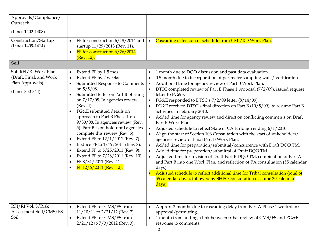| Approvals/Compliance/<br>Outreach<br>(Lines 1402-1408)<br>Construction/Startup<br>(Lines 1409-1414) | FF for construction 6/18/2014 and<br>$\bullet$<br>startup 11/29/2013 (Rev. 11).<br>FF for construction 6/26/2014<br>$\bullet$                                                                                                                                                                                                                                                                                                                                                                                                                                                                                                                                        | Cascading extension of schedule from CMI/RD Work Plan.<br>$\bullet$                                                                                                                                                                                                                                                                                                                                                                                                                                                                                                                                                                                                                                                                                                                                                                                                                                                                                                                                                                                                                                                                                                                                                                                                                                                           |
|-----------------------------------------------------------------------------------------------------|----------------------------------------------------------------------------------------------------------------------------------------------------------------------------------------------------------------------------------------------------------------------------------------------------------------------------------------------------------------------------------------------------------------------------------------------------------------------------------------------------------------------------------------------------------------------------------------------------------------------------------------------------------------------|-------------------------------------------------------------------------------------------------------------------------------------------------------------------------------------------------------------------------------------------------------------------------------------------------------------------------------------------------------------------------------------------------------------------------------------------------------------------------------------------------------------------------------------------------------------------------------------------------------------------------------------------------------------------------------------------------------------------------------------------------------------------------------------------------------------------------------------------------------------------------------------------------------------------------------------------------------------------------------------------------------------------------------------------------------------------------------------------------------------------------------------------------------------------------------------------------------------------------------------------------------------------------------------------------------------------------------|
| Soil                                                                                                | (Rev. 12).                                                                                                                                                                                                                                                                                                                                                                                                                                                                                                                                                                                                                                                           |                                                                                                                                                                                                                                                                                                                                                                                                                                                                                                                                                                                                                                                                                                                                                                                                                                                                                                                                                                                                                                                                                                                                                                                                                                                                                                                               |
| Soil RFI/RI Work Plan<br>(Draft, Final, and Work<br>Plan Approvals)<br>(Lines 830-844)              | Extend FF by 1.5 mos.<br>$\bullet$<br>Extend FF by 2 weeks<br>$\bullet$<br>Submitted Response to Comments<br>on $5/5/08$ .<br>Submitted letter on Part B phasing<br>$\bullet$<br>on $7/17/08$ . In agencies review<br>(Rev. 4).<br>PG&E submitted details on<br>approach to Part B Phase 1 on<br>9/30/08. In agencies review (Rev.<br>5). Part B is on hold until agencies<br>complete this review (Rev. 6).<br>Extend FF to 12/1/2011 (Rev. 7).<br>٠<br>Reduce FF to 1/19/2011 (Rev. 8).<br>$\bullet$<br>Extend FF to 5/25/2011 (Rev. 9).<br>$\bullet$<br>Extend FF to 7/28/2011 (Rev. 10).<br>٠<br>FF 8/31/2011 (Rev. 11).<br>$\bullet$<br>FF 12/6/2011 (Rev. 12). | 1 month due to DQO discussion and past data evaluation.<br>$\bullet$<br>0.5 month due to incorporation of perimeter sampling walk/ verification.<br>Additional time for agency review of Part B Work Plan.<br>DTSC completed review of Part B Phase 1 proposal (7/2/09), issued request<br>$\bullet$<br>letter to PG&E.<br>PG&E responded to DTSC's 7/2/09 letter (8/14/09).<br>PG&E received DTSC's final direction on Part B (10/5/09), to resume Part B<br>activities in February 2010.<br>Added time for agency review and direct on conflicting comments on Draft<br>$\bullet$<br>Part B Work Plan.<br>Adjusted schedule to reflect State of CA furlough ending 6/1/2010.<br>$\bullet$<br>Align the start of Section 106 Consultation with the start of stakeholders/<br>agencies review of Final Part B Work Plan.<br>Added time for preparation/submittal/concurrence with Draft DQO TM.<br>$\bullet$<br>Added time for preparation/submittal of Draft DQO TM.<br>Adjusted time for revision of Draft Part B DQO TM, combination of Part A<br>$\bullet$<br>and Part B into one Work Plan, and reflection of PA consultation (55 calendar<br>days).<br>Adjusted schedule to reflect additional time for Tribal consultation (total of<br>55 calendar days), followed by SHPO consultation (assume 30 calendar<br>days). |
| RFI/RI Vol. 3/Risk<br>Assessment-Soil/CMS/FS-<br>Soil                                               | Extend FF for CMS/FS from<br>$11/10/11$ to $2/21/12$ (Rev. 2)<br>Extend FF for CMS/FS from<br>$\bullet$<br>$2/21/12$ to $7/3/2012$ (Rev. 3).                                                                                                                                                                                                                                                                                                                                                                                                                                                                                                                         | Approx. 2 months due to cascading delay from Part A Phase 1 workplan/<br>$\bullet$<br>approval/permitting.<br>1 month from adding a link between tribal review of CMS/FS and PG&E<br>response to comments.                                                                                                                                                                                                                                                                                                                                                                                                                                                                                                                                                                                                                                                                                                                                                                                                                                                                                                                                                                                                                                                                                                                    |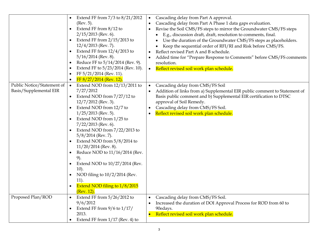|                                                      | Extend FF from $7/3$ to $8/21/2012$<br>(Rev. 5).<br>Extend FF from $8/12$ to<br>$2/15/2013$ (Rev. 6).<br>Extend FF from $2/15/2013$ to<br>$12/4/2013$ (Rev. 7).<br>Extend FF from $12/4/2013$ to<br>$5/16/2014$ (Rev. 8).<br>Reduce FF to 5/14/2014 (Rev. 9).<br>Extend FF to 5/23/2014 (Rev. 10).<br>FF 5/21/2014 (Rev. 11).<br>$FF 8/27/2014$ (Rev. 12).                                                                                                                                                                       | Cascading delay from Part A approval.<br>Cascading delay from Part A Phase 1 data gaps evaluation.<br>Revise the Soil CMS/FS steps to mirror the Groundwater CMS/FS steps<br>$\bullet$<br>E.g., discussion draft, draft, resolution to comments, final.<br>Use the duration of the Groundwater CMS/FS steps as placeholders.<br>Keep the sequential order of RFI/RI and Risk before CMS/FS.<br>Reflect revised Part A and B schedule.<br>Added time for "Prepare Response to Comments" before CMS/FS comments<br>$\bullet$<br>resolution.<br>Reflect revised soil work plan schedule.<br>$\bullet$ |
|------------------------------------------------------|----------------------------------------------------------------------------------------------------------------------------------------------------------------------------------------------------------------------------------------------------------------------------------------------------------------------------------------------------------------------------------------------------------------------------------------------------------------------------------------------------------------------------------|----------------------------------------------------------------------------------------------------------------------------------------------------------------------------------------------------------------------------------------------------------------------------------------------------------------------------------------------------------------------------------------------------------------------------------------------------------------------------------------------------------------------------------------------------------------------------------------------------|
| Public Notice/Statement of<br>Basis/Supplemental EIR | Extend NOD from $12/13/2011$ to<br>$\bullet$<br>7/27/2012<br>Extend NOD from $7/27/12$ to<br>$12/7/2012$ (Rev. 3).<br>Extend NOD from 12/7 to<br>$1/25/2013$ (Rev. 5).<br>Extend NOD from 1/25 to<br>$7/22/2013$ (Rev. 6).<br>Extend NOD from $7/22/2013$ to<br>$5/8/2014$ (Rev. 7).<br>Extend NOD from $5/8/2014$ to<br>$11/20/2014$ (Rev. 8).<br>Reduce NOD to 11/16/2014 (Rev.<br>9).<br>Extend NOD to 10/27/2014 (Rev.<br>$10$ ).<br>NOD filing to 10/2/2014 (Rev.<br>11).<br>Extend NOD filing to 1/8/2015<br>$(Rev. 12)$ . | Cascading delay from CMS/FS Soil<br>Addition of links from a) Supplemental EIR public comment to Statement of<br>Basis public comment and b) Supplemental EIR certification to DTSC<br>approval of Soil Remedy.<br>Cascading delay from CMS/FS Soil.<br>Reflect revised soil work plan schedule.                                                                                                                                                                                                                                                                                                   |
| Proposed Plan/ROD                                    | Extend FF from $5/26/2012$ to<br>9/6/2012<br>Extend FF from $9/6$ to $1/17/$<br>2013.<br>Extend FF from $1/17$ (Rev. 4) to                                                                                                                                                                                                                                                                                                                                                                                                       | Cascading delay from CMS/FS Soil.<br>Increased the duration of DOI Approval Process for ROD from 60 to<br>90edays.<br>Reflect revised soil work plan schedule.                                                                                                                                                                                                                                                                                                                                                                                                                                     |